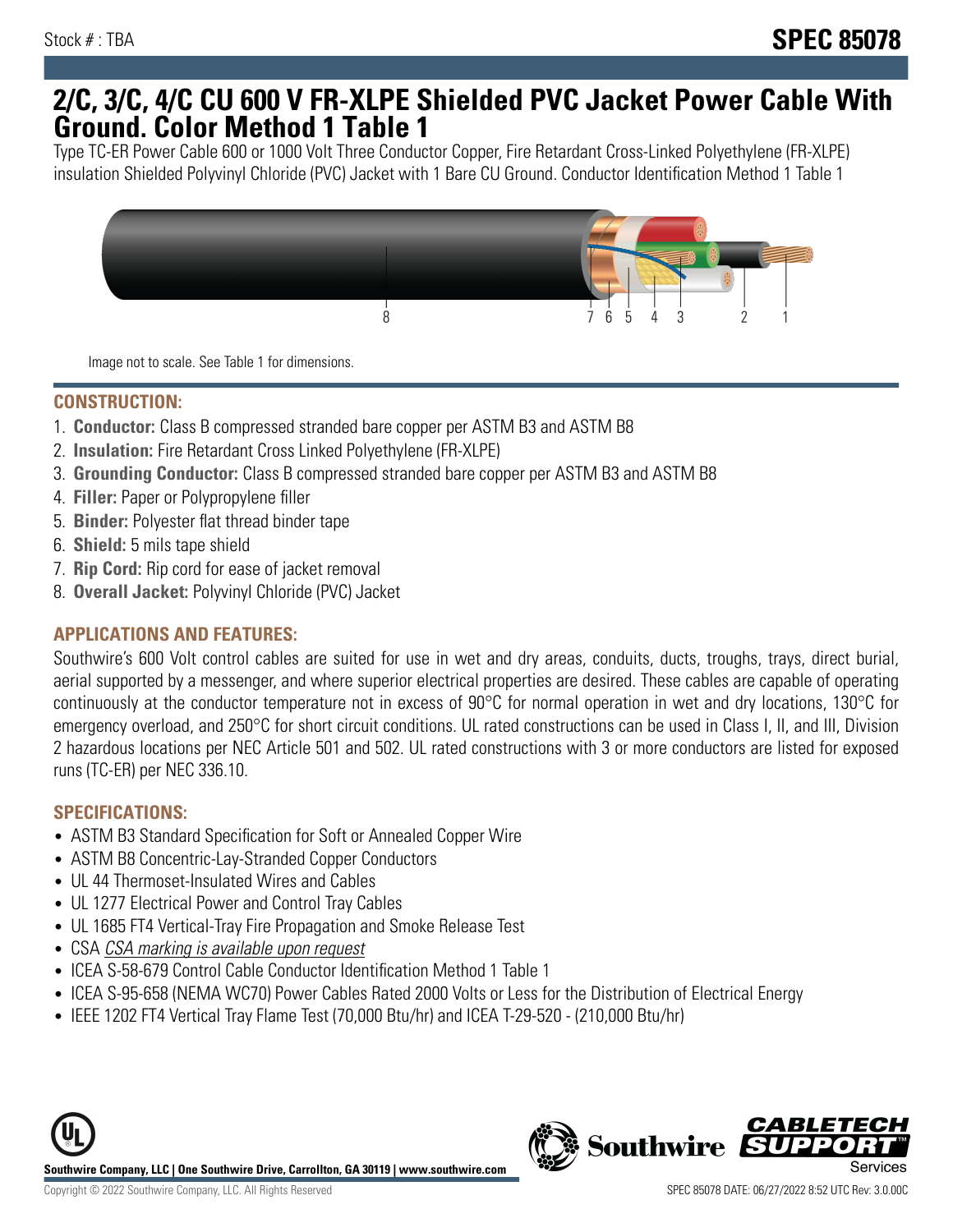## **2/C, 3/C, 4/C CU 600 V FR-XLPE Shielded PVC Jacket Power Cable With Ground. Color Method 1 Table 1**

Type TC-ER Power Cable 600 or 1000 Volt Three Conductor Copper, Fire Retardant Cross-Linked Polyethylene (FR-XLPE) insulation Shielded Polyvinyl Chloride (PVC) Jacket with 1 Bare CU Ground. Conductor Identification Method 1 Table 1



Image not to scale. See Table 1 for dimensions.

#### **CONSTRUCTION:**

- 1. **Conductor:** Class B compressed stranded bare copper per ASTM B3 and ASTM B8
- 2. **Insulation:** Fire Retardant Cross Linked Polyethylene (FR-XLPE)
- 3. **Grounding Conductor:** Class B compressed stranded bare copper per ASTM B3 and ASTM B8
- 4. **Filler:** Paper or Polypropylene filler
- 5. **Binder:** Polyester flat thread binder tape
- 6. **Shield:** 5 mils tape shield
- 7. **Rip Cord:** Rip cord for ease of jacket removal
- 8. **Overall Jacket:** Polyvinyl Chloride (PVC) Jacket

### **APPLICATIONS AND FEATURES:**

Southwire's 600 Volt control cables are suited for use in wet and dry areas, conduits, ducts, troughs, trays, direct burial, aerial supported by a messenger, and where superior electrical properties are desired. These cables are capable of operating continuously at the conductor temperature not in excess of 90°C for normal operation in wet and dry locations, 130°C for emergency overload, and 250°C for short circuit conditions. UL rated constructions can be used in Class I, II, and III, Division 2 hazardous locations per NEC Article 501 and 502. UL rated constructions with 3 or more conductors are listed for exposed runs (TC-ER) per NEC 336.10.

#### **SPECIFICATIONS:**

- ASTM B3 Standard Specification for Soft or Annealed Copper Wire
- ASTM B8 Concentric-Lay-Stranded Copper Conductors
- UL 44 Thermoset-Insulated Wires and Cables
- UL 1277 Electrical Power and Control Tray Cables
- UL 1685 FT4 Vertical-Tray Fire Propagation and Smoke Release Test
- CSA CSA marking is available upon request
- ICEA S-58-679 Control Cable Conductor Identification Method 1 Table 1
- ICEA S-95-658 (NEMA WC70) Power Cables Rated 2000 Volts or Less for the Distribution of Electrical Energy
- IEEE 1202 FT4 Vertical Tray Flame Test (70,000 Btu/hr) and ICEA T-29-520 (210,000 Btu/hr)



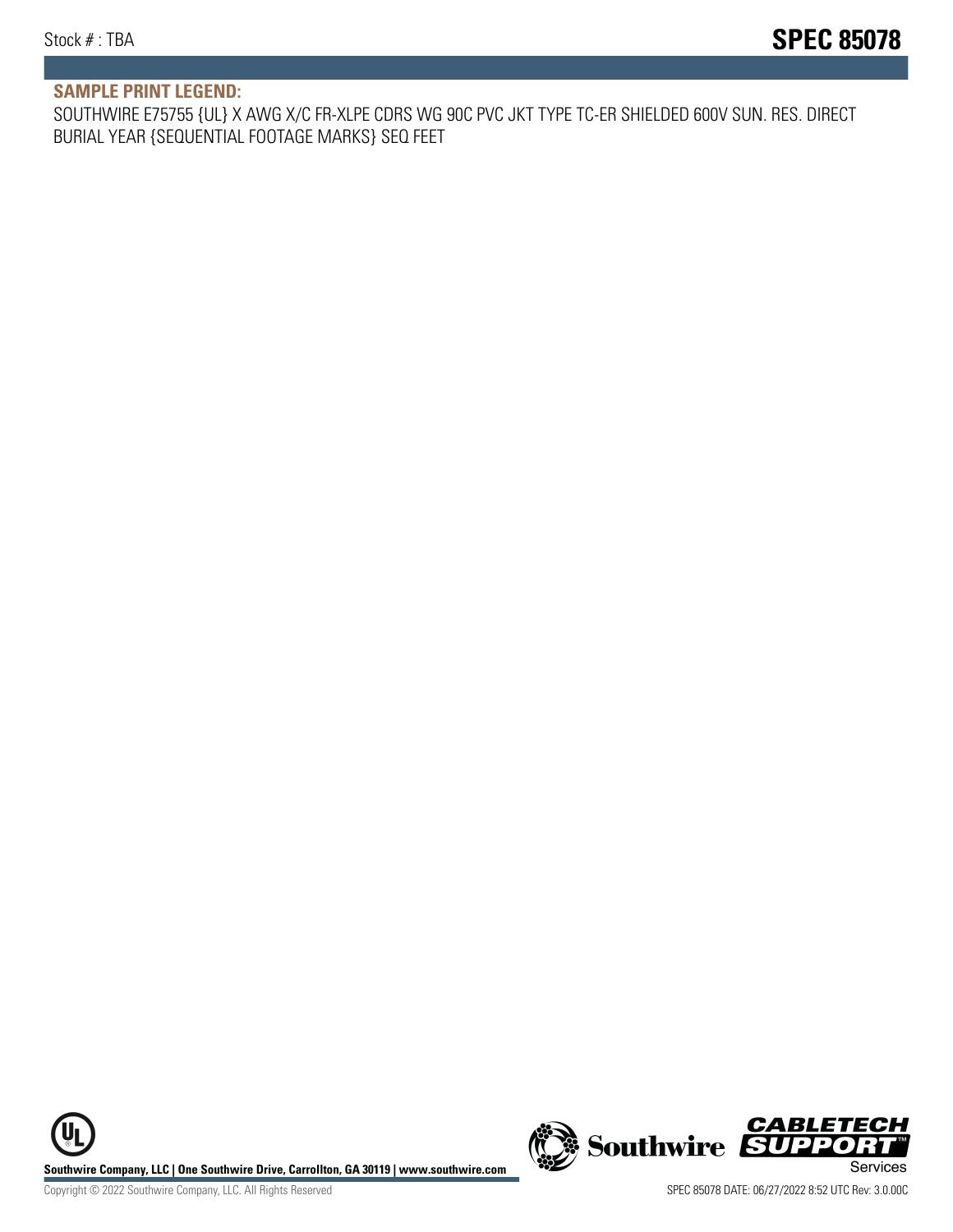#### **SAMPLE PRINT LEGEND:**

SOUTHWIRE E75755 {UL} X AWG X/C FR-XLPE CDRS WG 90C PVC JKT TYPE TC-ER SHIELDED 600V SUN. RES. DIRECT BURIAL YEAR {SEQUENTIAL FOOTAGE MARKS} SEQ FEET

UL **Southwire Company, LLC | One Southwire Drive, Carrollton, GA 30119 | www.southwire.com (New Southwire SUPPORTI**